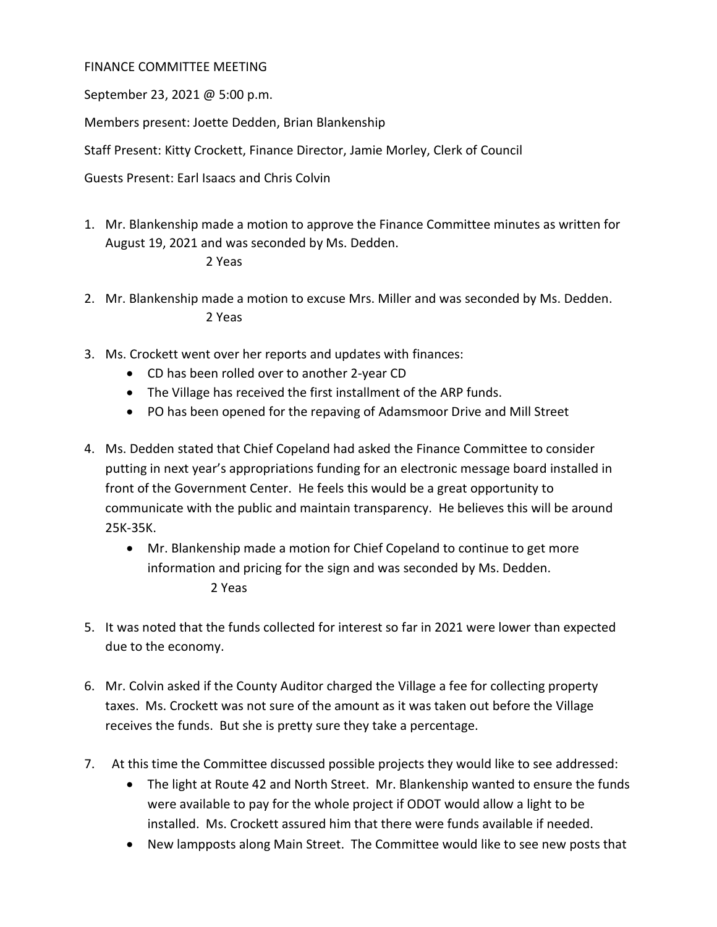## FINANCE COMMITTEE MEETING

September 23, 2021 @ 5:00 p.m.

Members present: Joette Dedden, Brian Blankenship

Staff Present: Kitty Crockett, Finance Director, Jamie Morley, Clerk of Council

Guests Present: Earl Isaacs and Chris Colvin

1. Mr. Blankenship made a motion to approve the Finance Committee minutes as written for August 19, 2021 and was seconded by Ms. Dedden.

## 2 Yeas

- 2. Mr. Blankenship made a motion to excuse Mrs. Miller and was seconded by Ms. Dedden. 2 Yeas
- 3. Ms. Crockett went over her reports and updates with finances:
	- CD has been rolled over to another 2-year CD
	- The Village has received the first installment of the ARP funds.
	- PO has been opened for the repaving of Adamsmoor Drive and Mill Street
- 4. Ms. Dedden stated that Chief Copeland had asked the Finance Committee to consider putting in next year's appropriations funding for an electronic message board installed in front of the Government Center. He feels this would be a great opportunity to communicate with the public and maintain transparency. He believes this will be around 25K-35K.
	- Mr. Blankenship made a motion for Chief Copeland to continue to get more information and pricing for the sign and was seconded by Ms. Dedden. 2 Yeas
- 5. It was noted that the funds collected for interest so far in 2021 were lower than expected due to the economy.
- 6. Mr. Colvin asked if the County Auditor charged the Village a fee for collecting property taxes. Ms. Crockett was not sure of the amount as it was taken out before the Village receives the funds. But she is pretty sure they take a percentage.
- 7. At this time the Committee discussed possible projects they would like to see addressed:
	- The light at Route 42 and North Street. Mr. Blankenship wanted to ensure the funds were available to pay for the whole project if ODOT would allow a light to be installed. Ms. Crockett assured him that there were funds available if needed.
	- New lampposts along Main Street. The Committee would like to see new posts that